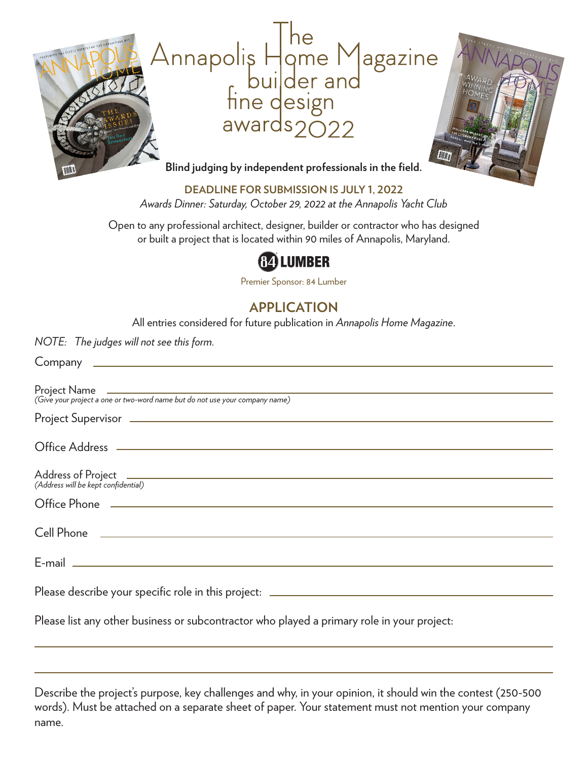

**DEADLINE FOR SUBMISSION IS JULY 1, 2022** *Awards Dinner: Saturday, October 29, 2022 at the Annapolis Yacht Club*

Open to any professional architect, designer, builder or contractor who has designed or built a project that is located within 90 miles of Annapolis, Maryland.

# **G2** LUMBER

Premier Sponsor: 84 Lumber

### **APPLICATION**

All entries considered for future publication in *Annapolis Home Magazine*.

*NOTE: The judges will not see this form.*

| Office Phone 2008 2009 2010 2020 2020 2020 2021 2021 2022 2021 2022 2021 2022 2022 2021 2022 2021 2022 2021 20 |
|----------------------------------------------------------------------------------------------------------------|
|                                                                                                                |
|                                                                                                                |
|                                                                                                                |
| Please list any other business or subcontractor who played a primary role in your project:                     |
|                                                                                                                |

Describe the project's purpose, key challenges and why, in your opinion, it should win the contest (250-500 words). Must be attached on a separate sheet of paper. Your statement must not mention your company name.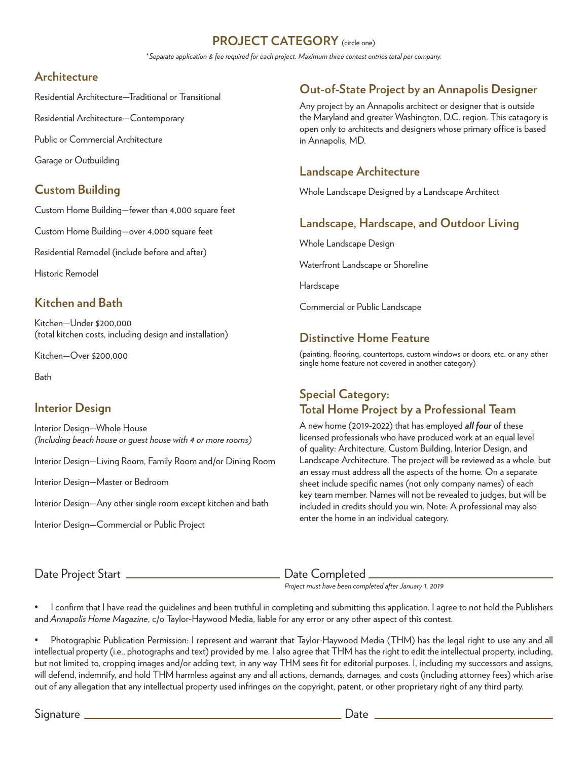#### **PROJECT CATEGORY** (circle one)

\**Separate application & fee required for each project. Maximum three contest entries total per company.*

#### **Architecture**

Residential Architecture—Traditional or Transitional

Residential Architecture—Contemporary

Public or Commercial Architecture

Garage or Outbuilding

### **Custom Building**

Custom Home Building—fewer than 4,000 square feet

Custom Home Building—over 4,000 square feet

Residential Remodel (include before and after)

Historic Remodel

#### **Kitchen and Bath**

Kitchen—Under \$200,000 (total kitchen costs, including design and installation)

Kitchen—Over \$200,000

Bath

#### **Interior Design**

Interior Design—Whole House *(Including beach house or guest house with 4 or more rooms)*

Interior Design—Living Room, Family Room and/or Dining Room

Interior Design—Master or Bedroom

Interior Design—Any other single room except kitchen and bath

Interior Design—Commercial or Public Project

#### $\rho_{\rm eff}$  countertops, countertops, countertops, contrarts in any other single home feature not covered in any other category) **Out-of-State Project by an Annapolis Designer**

Any project by an Annapolis architect or designer that is outside the Maryland and greater Washington, D.C. region. This catagory is open only to architects and designers whose primary office is based in Annapolis, MD.

#### **Landscape Architecture**

Whole Landscape Designed by a Landscape Architect

#### **Landscape, Hardscape, and Outdoor Living**

Whole Landscape Design

Waterfront Landscape or Shoreline

Hardscape

Commercial or Public Landscape

#### **Distinctive Home Feature**

(painting, flooring, countertops, custom windows or doors, etc. or any other single home feature not covered in another category)

#### **Special Category: Total Home Project by a Professional Team**

A new home (2019-2022) that has employed *all four* of these licensed professionals who have produced work at an equal level of quality: Architecture, Custom Building, Interior Design, and Landscape Architecture. The project will be reviewed as a whole, but an essay must address all the aspects of the home. On a separate sheet include specific names (not only company names) of each key team member. Names will not be revealed to judges, but will be included in credits should you win. Note: A professional may also enter the home in an individual category.

Date Project Start Date Completed

*Project must have been completed after January 1, 2019*

• I confirm that I have read the guidelines and been truthful in completing and submitting this application. I agree to not hold the Publishers and *Annapolis Home Magazine*, c/o Taylor-Haywood Media, liable for any error or any other aspect of this contest.

• Photographic Publication Permission: I represent and warrant that Taylor-Haywood Media (THM) has the legal right to use any and all intellectual property (i.e., photographs and text) provided by me. I also agree that THM has the right to edit the intellectual property, including, but not limited to, cropping images and/or adding text, in any way THM sees fit for editorial purposes. I, including my successors and assigns, will defend, indemnify, and hold THM harmless against any and all actions, demands, damages, and costs (including attorney fees) which arise out of any allegation that any intellectual property used infringes on the copyright, patent, or other proprietary right of any third party.

Signature Date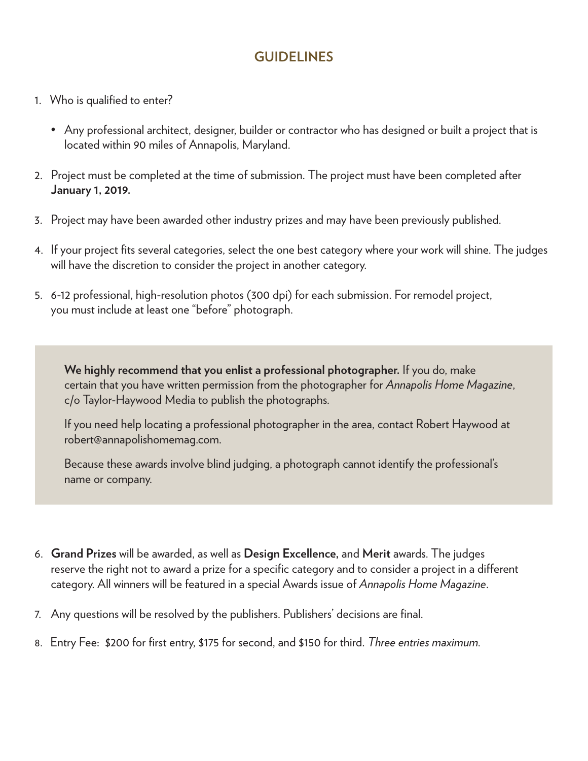### **GUIDELINES**

- 1. Who is qualified to enter?
	- Any professional architect, designer, builder or contractor who has designed or built a project that is located within 90 miles of Annapolis, Maryland.
- 2. Project must be completed at the time of submission. The project must have been completed after **January 1, 2019.**
- 3. Project may have been awarded other industry prizes and may have been previously published.
- 4. If your project fits several categories, select the one best category where your work will shine. The judges will have the discretion to consider the project in another category.
- 5. 6-12 professional, high-resolution photos (300 dpi) for each submission. For remodel project, you must include at least one "before" photograph.

 **We highly recommend that you enlist a professional photographer.** If you do, make certain that you have written permission from the photographer for *Annapolis Home Magazine*, c/o Taylor-Haywood Media to publish the photographs.

 If you need help locating a professional photographer in the area, contact Robert Haywood at robert@annapolishomemag.com.

 Because these awards involve blind judging, a photograph cannot identify the professional's name or company.

- 6. **Grand Prizes** will be awarded, as well as **Design Excellence,** and **Merit** awards. The judges reserve the right not to award a prize for a specific category and to consider a project in a different category. All winners will be featured in a special Awards issue of *Annapolis Home Magazine*.
- 7. Any questions will be resolved by the publishers. Publishers' decisions are final.
- 8. Entry Fee: \$200 for first entry, \$175 for second, and \$150 for third. *Three entries maximum.*